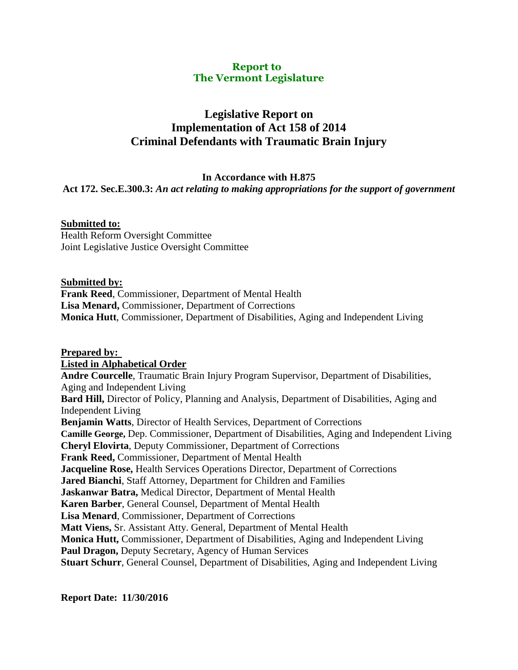#### **Report to The Vermont Legislature**

# **Legislative Report on Implementation of Act 158 of 2014 Criminal Defendants with Traumatic Brain Injury**

#### **In Accordance with H.875**

### **Act 172. Sec.E.300.3:** *An act relating to making appropriations for the support of government*

## **Submitted to:**

Health Reform Oversight Committee Joint Legislative Justice Oversight Committee

#### **Submitted by:**

**Frank Reed**, Commissioner, Department of Mental Health **Lisa Menard,** Commissioner, Department of Corrections **Monica Hutt**, Commissioner, Department of Disabilities, Aging and Independent Living

**Prepared by: Listed in Alphabetical Order Andre Courcelle**, Traumatic Brain Injury Program Supervisor, Department of Disabilities, Aging and Independent Living **Bard Hill,** Director of Policy, Planning and Analysis, Department of Disabilities, Aging and Independent Living **Benjamin Watts**, Director of Health Services, Department of Corrections **Camille George,** Dep. Commissioner, Department of Disabilities, Aging and Independent Living **Cheryl Elovirta**, Deputy Commissioner, Department of Corrections **Frank Reed,** Commissioner, Department of Mental Health **Jacqueline Rose,** Health Services Operations Director, Department of Corrections **Jared Bianchi**, Staff Attorney, Department for Children and Families **Jaskanwar Batra,** Medical Director, Department of Mental Health **Karen Barber**, General Counsel, Department of Mental Health **Lisa Menard**, Commissioner, Department of Corrections **Matt Viens,** Sr. Assistant Atty. General, Department of Mental Health **Monica Hutt,** Commissioner, Department of Disabilities, Aging and Independent Living **Paul Dragon,** Deputy Secretary, Agency of Human Services **Stuart Schurr**, General Counsel, Department of Disabilities, Aging and Independent Living

**Report Date: 11/30/2016**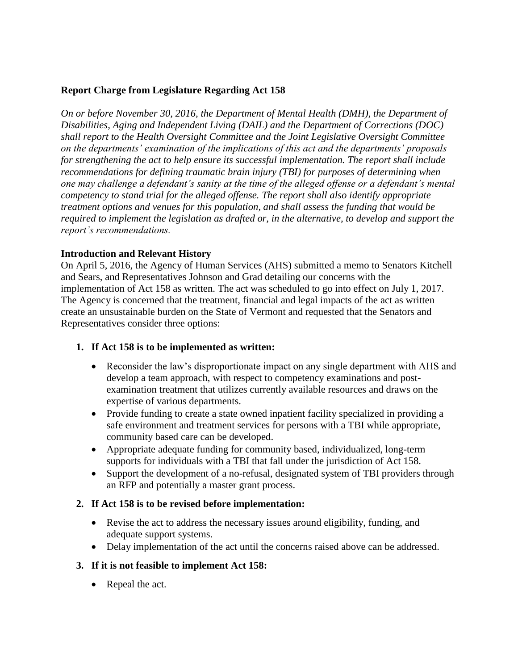## **Report Charge from Legislature Regarding Act 158**

*On or before November 30, 2016, the Department of Mental Health (DMH), the Department of Disabilities, Aging and Independent Living (DAIL) and the Department of Corrections (DOC) shall report to the Health Oversight Committee and the Joint Legislative Oversight Committee on the departments' examination of the implications of this act and the departments' proposals for strengthening the act to help ensure its successful implementation. The report shall include recommendations for defining traumatic brain injury (TBI) for purposes of determining when one may challenge a defendant's sanity at the time of the alleged offense or a defendant's mental competency to stand trial for the alleged offense. The report shall also identify appropriate treatment options and venues for this population, and shall assess the funding that would be required to implement the legislation as drafted or, in the alternative, to develop and support the report's recommendations.* 

### **Introduction and Relevant History**

On April 5, 2016, the Agency of Human Services (AHS) submitted a memo to Senators Kitchell and Sears, and Representatives Johnson and Grad detailing our concerns with the implementation of Act 158 as written. The act was scheduled to go into effect on July 1, 2017. The Agency is concerned that the treatment, financial and legal impacts of the act as written create an unsustainable burden on the State of Vermont and requested that the Senators and Representatives consider three options:

### **1. If Act 158 is to be implemented as written:**

- Reconsider the law's disproportionate impact on any single department with AHS and develop a team approach, with respect to competency examinations and postexamination treatment that utilizes currently available resources and draws on the expertise of various departments.
- Provide funding to create a state owned inpatient facility specialized in providing a safe environment and treatment services for persons with a TBI while appropriate, community based care can be developed.
- Appropriate adequate funding for community based, individualized, long-term supports for individuals with a TBI that fall under the jurisdiction of Act 158.
- Support the development of a no-refusal, designated system of TBI providers through an RFP and potentially a master grant process.

### **2. If Act 158 is to be revised before implementation:**

- Revise the act to address the necessary issues around eligibility, funding, and adequate support systems.
- Delay implementation of the act until the concerns raised above can be addressed.

### **3. If it is not feasible to implement Act 158:**

• Repeal the act.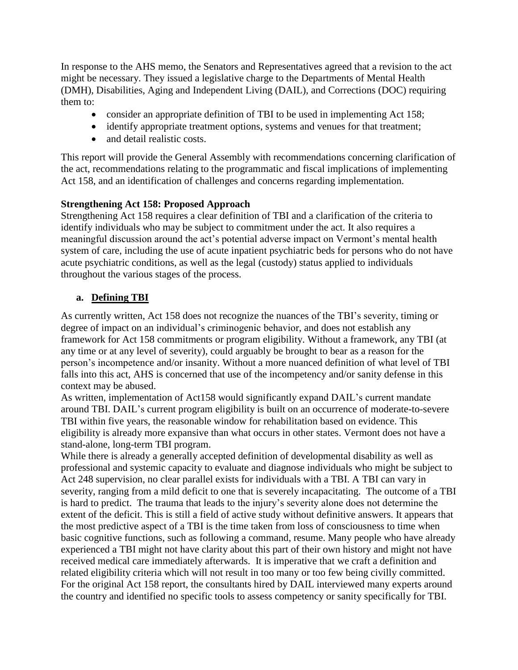In response to the AHS memo, the Senators and Representatives agreed that a revision to the act might be necessary. They issued a legislative charge to the Departments of Mental Health (DMH), Disabilities, Aging and Independent Living (DAIL), and Corrections (DOC) requiring them to:

- consider an appropriate definition of TBI to be used in implementing Act 158;
- identify appropriate treatment options, systems and venues for that treatment;
- and detail realistic costs.

This report will provide the General Assembly with recommendations concerning clarification of the act, recommendations relating to the programmatic and fiscal implications of implementing Act 158, and an identification of challenges and concerns regarding implementation.

### **Strengthening Act 158: Proposed Approach**

Strengthening Act 158 requires a clear definition of TBI and a clarification of the criteria to identify individuals who may be subject to commitment under the act. It also requires a meaningful discussion around the act's potential adverse impact on Vermont's mental health system of care, including the use of acute inpatient psychiatric beds for persons who do not have acute psychiatric conditions, as well as the legal (custody) status applied to individuals throughout the various stages of the process.

## **a. Defining TBI**

As currently written, Act 158 does not recognize the nuances of the TBI's severity, timing or degree of impact on an individual's criminogenic behavior, and does not establish any framework for Act 158 commitments or program eligibility. Without a framework, any TBI (at any time or at any level of severity), could arguably be brought to bear as a reason for the person's incompetence and/or insanity. Without a more nuanced definition of what level of TBI falls into this act, AHS is concerned that use of the incompetency and/or sanity defense in this context may be abused.

As written, implementation of Act158 would significantly expand DAIL's current mandate around TBI. DAIL's current program eligibility is built on an occurrence of moderate-to-severe TBI within five years, the reasonable window for rehabilitation based on evidence. This eligibility is already more expansive than what occurs in other states. Vermont does not have a stand-alone, long-term TBI program.

While there is already a generally accepted definition of developmental disability as well as professional and systemic capacity to evaluate and diagnose individuals who might be subject to Act 248 supervision, no clear parallel exists for individuals with a TBI. A TBI can vary in severity, ranging from a mild deficit to one that is severely incapacitating. The outcome of a TBI is hard to predict. The trauma that leads to the injury's severity alone does not determine the extent of the deficit. This is still a field of active study without definitive answers. It appears that the most predictive aspect of a TBI is the time taken from loss of consciousness to time when basic cognitive functions, such as following a command, resume. Many people who have already experienced a TBI might not have clarity about this part of their own history and might not have received medical care immediately afterwards. It is imperative that we craft a definition and related eligibility criteria which will not result in too many or too few being civilly committed. For the original Act 158 report, the consultants hired by DAIL interviewed many experts around the country and identified no specific tools to assess competency or sanity specifically for TBI.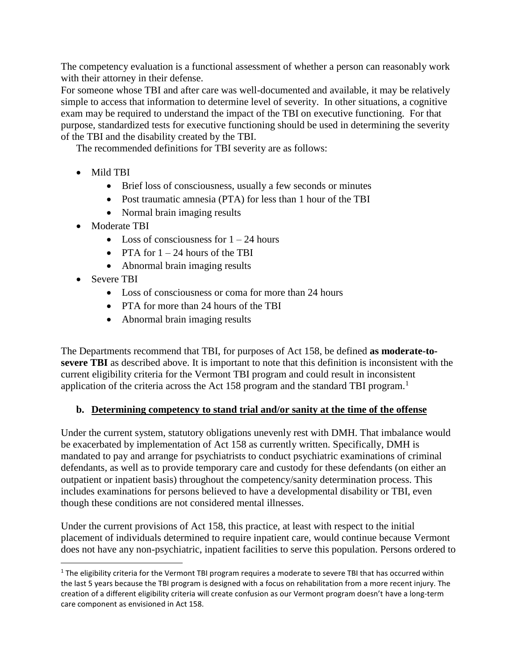The competency evaluation is a functional assessment of whether a person can reasonably work with their attorney in their defense.

For someone whose TBI and after care was well-documented and available, it may be relatively simple to access that information to determine level of severity. In other situations, a cognitive exam may be required to understand the impact of the TBI on executive functioning. For that purpose, standardized tests for executive functioning should be used in determining the severity of the TBI and the disability created by the TBI.

The recommended definitions for TBI severity are as follows:

- Mild TRI
	- Brief loss of consciousness, usually a few seconds or minutes
	- Post traumatic amnesia (PTA) for less than 1 hour of the TBI
	- Normal brain imaging results
- Moderate TBI
	- $\bullet$  Loss of consciousness for  $1 24$  hours
	- PTA for  $1 24$  hours of the TBI
	- Abnormal brain imaging results
- Severe TBI

 $\overline{a}$ 

- Loss of consciousness or coma for more than 24 hours
- PTA for more than 24 hours of the TBI
- Abnormal brain imaging results

The Departments recommend that TBI, for purposes of Act 158, be defined **as moderate-tosevere TBI** as described above. It is important to note that this definition is inconsistent with the current eligibility criteria for the Vermont TBI program and could result in inconsistent application of the criteria across the Act 158 program and the standard TBI program.<sup>1</sup>

### **b. Determining competency to stand trial and/or sanity at the time of the offense**

Under the current system, statutory obligations unevenly rest with DMH. That imbalance would be exacerbated by implementation of Act 158 as currently written. Specifically, DMH is mandated to pay and arrange for psychiatrists to conduct psychiatric examinations of criminal defendants, as well as to provide temporary care and custody for these defendants (on either an outpatient or inpatient basis) throughout the competency/sanity determination process. This includes examinations for persons believed to have a developmental disability or TBI, even though these conditions are not considered mental illnesses.

Under the current provisions of Act 158, this practice, at least with respect to the initial placement of individuals determined to require inpatient care, would continue because Vermont does not have any non-psychiatric, inpatient facilities to serve this population. Persons ordered to

 $1$  The eligibility criteria for the Vermont TBI program requires a moderate to severe TBI that has occurred within the last 5 years because the TBI program is designed with a focus on rehabilitation from a more recent injury. The creation of a different eligibility criteria will create confusion as our Vermont program doesn't have a long-term care component as envisioned in Act 158.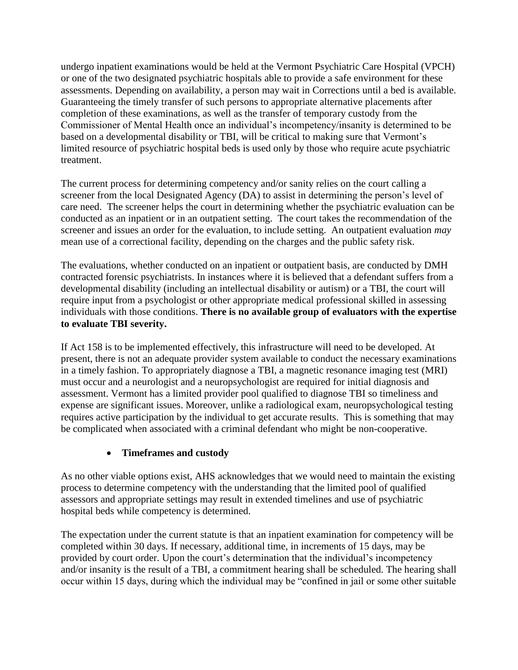undergo inpatient examinations would be held at the Vermont Psychiatric Care Hospital (VPCH) or one of the two designated psychiatric hospitals able to provide a safe environment for these assessments. Depending on availability, a person may wait in Corrections until a bed is available. Guaranteeing the timely transfer of such persons to appropriate alternative placements after completion of these examinations, as well as the transfer of temporary custody from the Commissioner of Mental Health once an individual's incompetency/insanity is determined to be based on a developmental disability or TBI, will be critical to making sure that Vermont's limited resource of psychiatric hospital beds is used only by those who require acute psychiatric treatment.

The current process for determining competency and/or sanity relies on the court calling a screener from the local Designated Agency (DA) to assist in determining the person's level of care need. The screener helps the court in determining whether the psychiatric evaluation can be conducted as an inpatient or in an outpatient setting. The court takes the recommendation of the screener and issues an order for the evaluation, to include setting. An outpatient evaluation *may* mean use of a correctional facility, depending on the charges and the public safety risk.

The evaluations, whether conducted on an inpatient or outpatient basis, are conducted by DMH contracted forensic psychiatrists. In instances where it is believed that a defendant suffers from a developmental disability (including an intellectual disability or autism) or a TBI, the court will require input from a psychologist or other appropriate medical professional skilled in assessing individuals with those conditions. **There is no available group of evaluators with the expertise to evaluate TBI severity.**

If Act 158 is to be implemented effectively, this infrastructure will need to be developed. At present, there is not an adequate provider system available to conduct the necessary examinations in a timely fashion. To appropriately diagnose a TBI, a magnetic resonance imaging test (MRI) must occur and a neurologist and a neuropsychologist are required for initial diagnosis and assessment. Vermont has a limited provider pool qualified to diagnose TBI so timeliness and expense are significant issues. Moreover, unlike a radiological exam, neuropsychological testing requires active participation by the individual to get accurate results. This is something that may be complicated when associated with a criminal defendant who might be non-cooperative.

## **Timeframes and custody**

As no other viable options exist, AHS acknowledges that we would need to maintain the existing process to determine competency with the understanding that the limited pool of qualified assessors and appropriate settings may result in extended timelines and use of psychiatric hospital beds while competency is determined.

The expectation under the current statute is that an inpatient examination for competency will be completed within 30 days. If necessary, additional time, in increments of 15 days, may be provided by court order. Upon the court's determination that the individual's incompetency and/or insanity is the result of a TBI, a commitment hearing shall be scheduled. The hearing shall occur within 15 days, during which the individual may be "confined in jail or some other suitable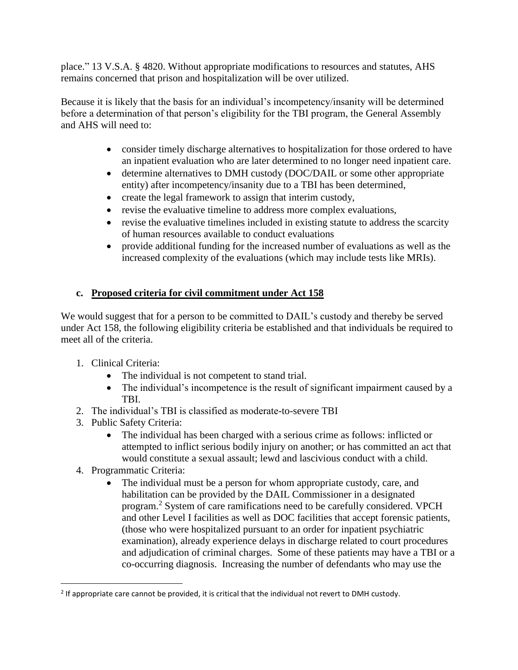place." 13 V.S.A. § 4820. Without appropriate modifications to resources and statutes, AHS remains concerned that prison and hospitalization will be over utilized.

Because it is likely that the basis for an individual's incompetency/insanity will be determined before a determination of that person's eligibility for the TBI program, the General Assembly and AHS will need to:

- consider timely discharge alternatives to hospitalization for those ordered to have an inpatient evaluation who are later determined to no longer need inpatient care.
- determine alternatives to DMH custody (DOC/DAIL or some other appropriate entity) after incompetency/insanity due to a TBI has been determined,
- create the legal framework to assign that interim custody,
- revise the evaluative timeline to address more complex evaluations,
- revise the evaluative timelines included in existing statute to address the scarcity of human resources available to conduct evaluations
- provide additional funding for the increased number of evaluations as well as the increased complexity of the evaluations (which may include tests like MRIs).

# **c. Proposed criteria for civil commitment under Act 158**

We would suggest that for a person to be committed to DAIL's custody and thereby be served under Act 158, the following eligibility criteria be established and that individuals be required to meet all of the criteria.

- 1. Clinical Criteria:
	- The individual is not competent to stand trial.
	- The individual's incompetence is the result of significant impairment caused by a TBI.
- 2. The individual's TBI is classified as moderate-to-severe TBI
- 3. Public Safety Criteria:
	- The individual has been charged with a serious crime as follows: inflicted or attempted to inflict serious bodily injury on another; or has committed an act that would constitute a sexual assault; lewd and lascivious conduct with a child.
- 4. Programmatic Criteria:

 $\overline{a}$ 

 The individual must be a person for whom appropriate custody, care, and habilitation can be provided by the DAIL Commissioner in a designated program.<sup>2</sup> System of care ramifications need to be carefully considered. VPCH and other Level I facilities as well as DOC facilities that accept forensic patients, (those who were hospitalized pursuant to an order for inpatient psychiatric examination), already experience delays in discharge related to court procedures and adjudication of criminal charges. Some of these patients may have a TBI or a co-occurring diagnosis. Increasing the number of defendants who may use the

 $2$  If appropriate care cannot be provided, it is critical that the individual not revert to DMH custody.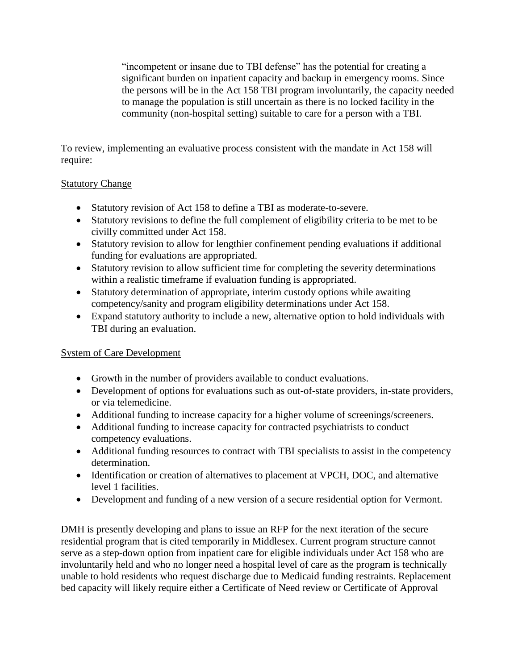"incompetent or insane due to TBI defense" has the potential for creating a significant burden on inpatient capacity and backup in emergency rooms. Since the persons will be in the Act 158 TBI program involuntarily, the capacity needed to manage the population is still uncertain as there is no locked facility in the community (non-hospital setting) suitable to care for a person with a TBI.

To review, implementing an evaluative process consistent with the mandate in Act 158 will require:

## Statutory Change

- Statutory revision of Act 158 to define a TBI as moderate-to-severe.
- Statutory revisions to define the full complement of eligibility criteria to be met to be civilly committed under Act 158.
- Statutory revision to allow for lengthier confinement pending evaluations if additional funding for evaluations are appropriated.
- Statutory revision to allow sufficient time for completing the severity determinations within a realistic timeframe if evaluation funding is appropriated.
- Statutory determination of appropriate, interim custody options while awaiting competency/sanity and program eligibility determinations under Act 158.
- Expand statutory authority to include a new, alternative option to hold individuals with TBI during an evaluation.

## System of Care Development

- Growth in the number of providers available to conduct evaluations.
- Development of options for evaluations such as out-of-state providers, in-state providers, or via telemedicine.
- Additional funding to increase capacity for a higher volume of screenings/screeners.
- Additional funding to increase capacity for contracted psychiatrists to conduct competency evaluations.
- Additional funding resources to contract with TBI specialists to assist in the competency determination.
- Identification or creation of alternatives to placement at VPCH, DOC, and alternative level 1 facilities.
- Development and funding of a new version of a secure residential option for Vermont.

DMH is presently developing and plans to issue an RFP for the next iteration of the secure residential program that is cited temporarily in Middlesex. Current program structure cannot serve as a step-down option from inpatient care for eligible individuals under Act 158 who are involuntarily held and who no longer need a hospital level of care as the program is technically unable to hold residents who request discharge due to Medicaid funding restraints. Replacement bed capacity will likely require either a Certificate of Need review or Certificate of Approval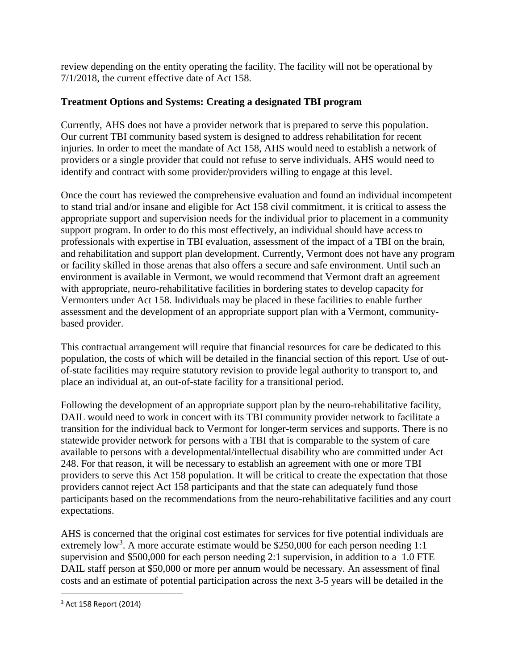review depending on the entity operating the facility. The facility will not be operational by 7/1/2018, the current effective date of Act 158.

## **Treatment Options and Systems: Creating a designated TBI program**

Currently, AHS does not have a provider network that is prepared to serve this population. Our current TBI community based system is designed to address rehabilitation for recent injuries. In order to meet the mandate of Act 158, AHS would need to establish a network of providers or a single provider that could not refuse to serve individuals. AHS would need to identify and contract with some provider/providers willing to engage at this level.

Once the court has reviewed the comprehensive evaluation and found an individual incompetent to stand trial and/or insane and eligible for Act 158 civil commitment, it is critical to assess the appropriate support and supervision needs for the individual prior to placement in a community support program. In order to do this most effectively, an individual should have access to professionals with expertise in TBI evaluation, assessment of the impact of a TBI on the brain, and rehabilitation and support plan development. Currently, Vermont does not have any program or facility skilled in those arenas that also offers a secure and safe environment. Until such an environment is available in Vermont, we would recommend that Vermont draft an agreement with appropriate, neuro-rehabilitative facilities in bordering states to develop capacity for Vermonters under Act 158. Individuals may be placed in these facilities to enable further assessment and the development of an appropriate support plan with a Vermont, communitybased provider.

This contractual arrangement will require that financial resources for care be dedicated to this population, the costs of which will be detailed in the financial section of this report. Use of outof-state facilities may require statutory revision to provide legal authority to transport to, and place an individual at, an out-of-state facility for a transitional period.

Following the development of an appropriate support plan by the neuro-rehabilitative facility, DAIL would need to work in concert with its TBI community provider network to facilitate a transition for the individual back to Vermont for longer-term services and supports. There is no statewide provider network for persons with a TBI that is comparable to the system of care available to persons with a developmental/intellectual disability who are committed under Act 248. For that reason, it will be necessary to establish an agreement with one or more TBI providers to serve this Act 158 population. It will be critical to create the expectation that those providers cannot reject Act 158 participants and that the state can adequately fund those participants based on the recommendations from the neuro-rehabilitative facilities and any court expectations.

AHS is concerned that the original cost estimates for services for five potential individuals are extremely low<sup>3</sup>. A more accurate estimate would be \$250,000 for each person needing  $1:1$ supervision and \$500,000 for each person needing 2:1 supervision, in addition to a 1.0 FTE DAIL staff person at \$50,000 or more per annum would be necessary. An assessment of final costs and an estimate of potential participation across the next 3-5 years will be detailed in the

 $\overline{a}$ 

<sup>3</sup> Act 158 Report (2014)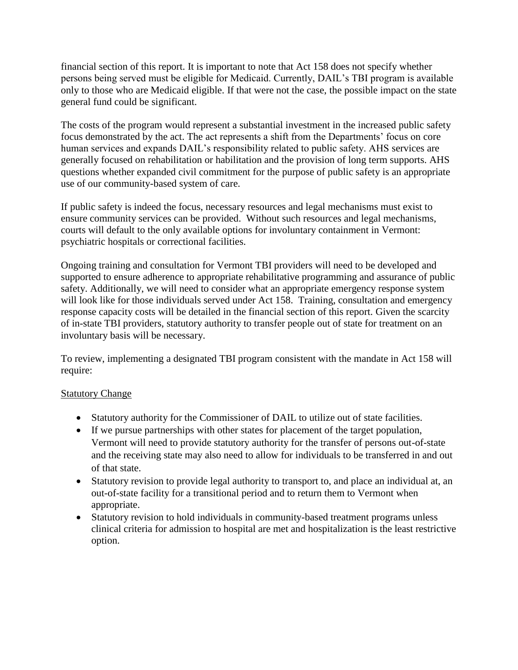financial section of this report. It is important to note that Act 158 does not specify whether persons being served must be eligible for Medicaid. Currently, DAIL's TBI program is available only to those who are Medicaid eligible. If that were not the case, the possible impact on the state general fund could be significant.

The costs of the program would represent a substantial investment in the increased public safety focus demonstrated by the act. The act represents a shift from the Departments' focus on core human services and expands DAIL's responsibility related to public safety. AHS services are generally focused on rehabilitation or habilitation and the provision of long term supports. AHS questions whether expanded civil commitment for the purpose of public safety is an appropriate use of our community-based system of care.

If public safety is indeed the focus, necessary resources and legal mechanisms must exist to ensure community services can be provided. Without such resources and legal mechanisms, courts will default to the only available options for involuntary containment in Vermont: psychiatric hospitals or correctional facilities.

Ongoing training and consultation for Vermont TBI providers will need to be developed and supported to ensure adherence to appropriate rehabilitative programming and assurance of public safety. Additionally, we will need to consider what an appropriate emergency response system will look like for those individuals served under Act 158. Training, consultation and emergency response capacity costs will be detailed in the financial section of this report. Given the scarcity of in-state TBI providers, statutory authority to transfer people out of state for treatment on an involuntary basis will be necessary.

To review, implementing a designated TBI program consistent with the mandate in Act 158 will require:

### **Statutory Change**

- Statutory authority for the Commissioner of DAIL to utilize out of state facilities.
- If we pursue partnerships with other states for placement of the target population, Vermont will need to provide statutory authority for the transfer of persons out-of-state and the receiving state may also need to allow for individuals to be transferred in and out of that state.
- Statutory revision to provide legal authority to transport to, and place an individual at, an out-of-state facility for a transitional period and to return them to Vermont when appropriate.
- Statutory revision to hold individuals in community-based treatment programs unless clinical criteria for admission to hospital are met and hospitalization is the least restrictive option.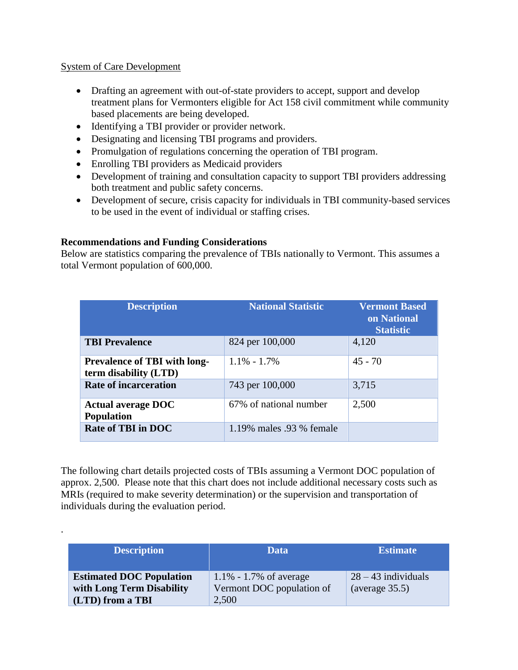#### System of Care Development

.

- Drafting an agreement with out-of-state providers to accept, support and develop treatment plans for Vermonters eligible for Act 158 civil commitment while community based placements are being developed.
- Identifying a TBI provider or provider network.
- Designating and licensing TBI programs and providers.
- Promulgation of regulations concerning the operation of TBI program.
- Enrolling TBI providers as Medicaid providers
- Development of training and consultation capacity to support TBI providers addressing both treatment and public safety concerns.
- Development of secure, crisis capacity for individuals in TBI community-based services to be used in the event of individual or staffing crises.

## **Recommendations and Funding Considerations**

Below are statistics comparing the prevalence of TBIs nationally to Vermont. This assumes a total Vermont population of 600,000.

| <b>Description</b>                                           | <b>National Statistic</b> | <b>Vermont Based</b><br>on National<br><b>Statistic</b> |
|--------------------------------------------------------------|---------------------------|---------------------------------------------------------|
| <b>TBI Prevalence</b>                                        | 824 per 100,000           | 4,120                                                   |
| <b>Prevalence of TBI with long-</b><br>term disability (LTD) | $1.1\% - 1.7\%$           | $45 - 70$                                               |
| <b>Rate of incarceration</b>                                 | 743 per 100,000           | 3,715                                                   |
| <b>Actual average DOC</b><br><b>Population</b>               | 67% of national number    | 2,500                                                   |
| <b>Rate of TBI in DOC</b>                                    | 1.19% males .93 % female  |                                                         |

The following chart details projected costs of TBIs assuming a Vermont DOC population of approx. 2,500. Please note that this chart does not include additional necessary costs such as MRIs (required to make severity determination) or the supervision and transportation of individuals during the evaluation period.

| <b>Description</b>              | Data                       | <b>Estimate</b> '     |
|---------------------------------|----------------------------|-----------------------|
| <b>Estimated DOC Population</b> | $1.1\% - 1.7\%$ of average | $28 - 43$ individuals |
| with Long Term Disability       | Vermont DOC population of  | (average $35.5$ )     |
| (LTD) from a TBI                | 2,500                      |                       |